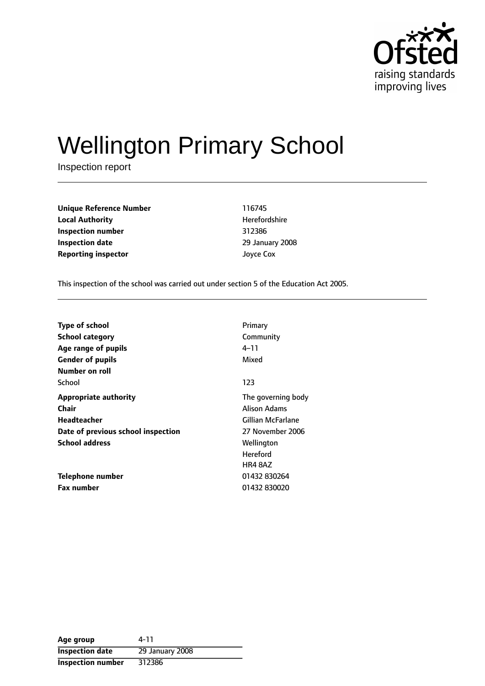

# Wellington Primary School

Inspection report

**Unique Reference Number** 116745 **Local Authority Herefordshire Inspection number** 312386 **Inspection date** 29 January 2008 **Reporting inspector and a structure of the United Structure Control of American American Structure Control of American American Structure Control of American American American Structure Control of American American Amer** 

This inspection of the school was carried out under section 5 of the Education Act 2005.

| Primary            |
|--------------------|
| Community          |
| 4–11               |
| Mixed              |
|                    |
| 123                |
| The governing body |
| Alison Adams       |
| Gillian McFarlane  |
| 27 November 2006   |
| Wellington         |
| <b>Hereford</b>    |
| <b>HR4 8AZ</b>     |
| 01432 830264       |
| 01432 830020       |
|                    |

**Age group** 4-11 **Inspection date** 29 January 2008 **Inspection number** 312386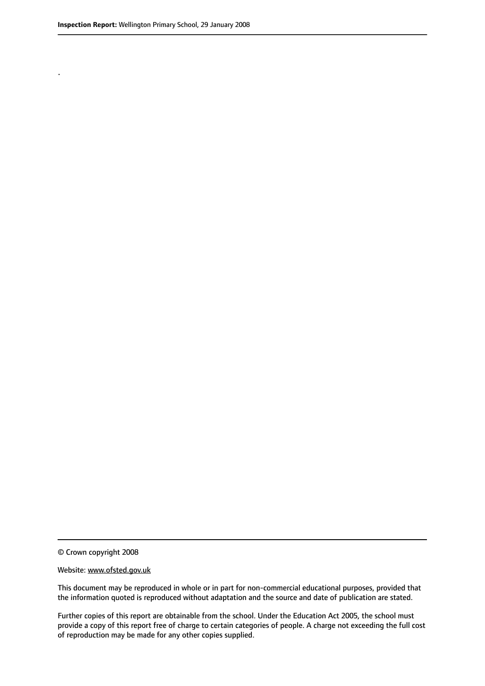.

© Crown copyright 2008

#### Website: www.ofsted.gov.uk

This document may be reproduced in whole or in part for non-commercial educational purposes, provided that the information quoted is reproduced without adaptation and the source and date of publication are stated.

Further copies of this report are obtainable from the school. Under the Education Act 2005, the school must provide a copy of this report free of charge to certain categories of people. A charge not exceeding the full cost of reproduction may be made for any other copies supplied.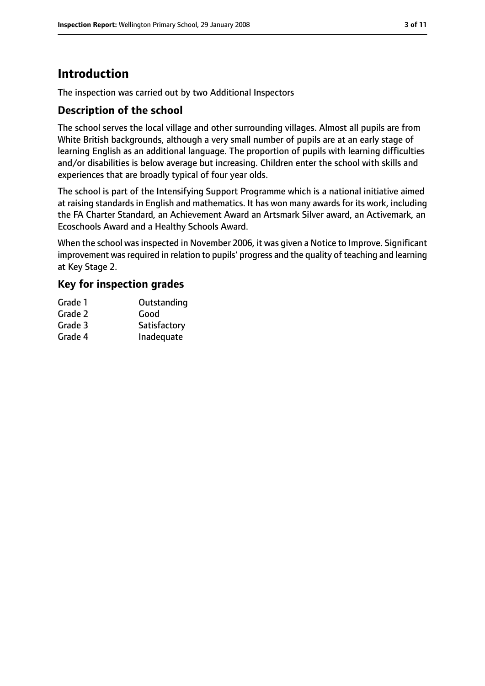# **Introduction**

The inspection was carried out by two Additional Inspectors

## **Description of the school**

The school serves the local village and other surrounding villages. Almost all pupils are from White British backgrounds, although a very small number of pupils are at an early stage of learning English as an additional language. The proportion of pupils with learning difficulties and/or disabilities is below average but increasing. Children enter the school with skills and experiences that are broadly typical of four year olds.

The school is part of the Intensifying Support Programme which is a national initiative aimed at raising standards in English and mathematics. It has won many awards for its work, including the FA Charter Standard, an Achievement Award an Artsmark Silver award, an Activemark, an Ecoschools Award and a Healthy Schools Award.

When the school was inspected in November 2006, it was given a Notice to Improve. Significant improvement was required in relation to pupils' progress and the quality of teaching and learning at Key Stage 2.

## **Key for inspection grades**

| Grade 1 | Outstanding  |
|---------|--------------|
| Grade 2 | Good         |
| Grade 3 | Satisfactory |
| Grade 4 | Inadequate   |
|         |              |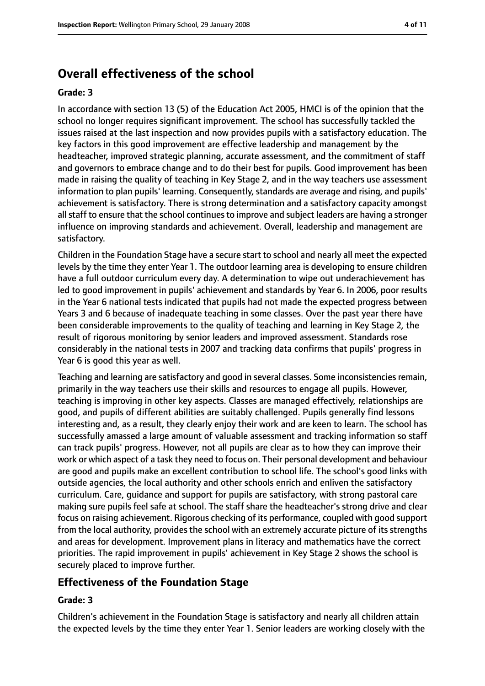## **Overall effectiveness of the school**

#### **Grade: 3**

In accordance with section 13 (5) of the Education Act 2005, HMCI is of the opinion that the school no longer requires significant improvement. The school has successfully tackled the issues raised at the last inspection and now provides pupils with a satisfactory education. The key factors in this good improvement are effective leadership and management by the headteacher, improved strategic planning, accurate assessment, and the commitment of staff and governors to embrace change and to do their best for pupils. Good improvement has been made in raising the quality of teaching in Key Stage 2, and in the way teachers use assessment information to plan pupils' learning. Consequently, standards are average and rising, and pupils' achievement is satisfactory. There is strong determination and a satisfactory capacity amongst all staff to ensure that the school continues to improve and subject leaders are having a stronger influence on improving standards and achievement. Overall, leadership and management are satisfactory.

Children in the Foundation Stage have a secure start to school and nearly all meet the expected levels by the time they enter Year 1. The outdoor learning area is developing to ensure children have a full outdoor curriculum every day. A determination to wipe out underachievement has led to good improvement in pupils' achievement and standards by Year 6. In 2006, poor results in the Year 6 national tests indicated that pupils had not made the expected progress between Years 3 and 6 because of inadequate teaching in some classes. Over the past year there have been considerable improvements to the quality of teaching and learning in Key Stage 2, the result of rigorous monitoring by senior leaders and improved assessment. Standards rose considerably in the national tests in 2007 and tracking data confirms that pupils' progress in Year 6 is good this year as well.

Teaching and learning are satisfactory and good in several classes. Some inconsistencies remain, primarily in the way teachers use their skills and resources to engage all pupils. However, teaching is improving in other key aspects. Classes are managed effectively, relationships are good, and pupils of different abilities are suitably challenged. Pupils generally find lessons interesting and, as a result, they clearly enjoy their work and are keen to learn. The school has successfully amassed a large amount of valuable assessment and tracking information so staff can track pupils' progress. However, not all pupils are clear as to how they can improve their work or which aspect of a task they need to focus on. Their personal development and behaviour are good and pupils make an excellent contribution to school life. The school's good links with outside agencies, the local authority and other schools enrich and enliven the satisfactory curriculum. Care, guidance and support for pupils are satisfactory, with strong pastoral care making sure pupils feel safe at school. The staff share the headteacher's strong drive and clear focus on raising achievement. Rigorous checking of its performance, coupled with good support from the local authority, provides the school with an extremely accurate picture of its strengths and areas for development. Improvement plans in literacy and mathematics have the correct priorities. The rapid improvement in pupils' achievement in Key Stage 2 shows the school is securely placed to improve further.

#### **Effectiveness of the Foundation Stage**

#### **Grade: 3**

Children's achievement in the Foundation Stage is satisfactory and nearly all children attain the expected levels by the time they enter Year 1. Senior leaders are working closely with the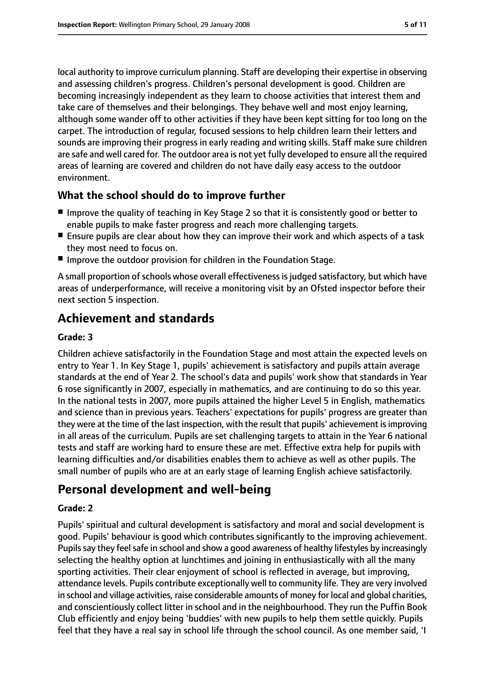local authority to improve curriculum planning. Staff are developing their expertise in observing and assessing children's progress. Children's personal development is good. Children are becoming increasingly independent as they learn to choose activities that interest them and take care of themselves and their belongings. They behave well and most enjoy learning, although some wander off to other activities if they have been kept sitting for too long on the carpet. The introduction of regular, focused sessions to help children learn their letters and sounds are improving their progress in early reading and writing skills. Staff make sure children are safe and well cared for. The outdoor area is not yet fully developed to ensure all the required areas of learning are covered and children do not have daily easy access to the outdoor environment.

## **What the school should do to improve further**

- Improve the quality of teaching in Key Stage 2 so that it is consistently good or better to enable pupils to make faster progress and reach more challenging targets.
- Ensure pupils are clear about how they can improve their work and which aspects of a task they most need to focus on.
- Improve the outdoor provision for children in the Foundation Stage.

A small proportion of schools whose overall effectiveness is judged satisfactory, but which have areas of underperformance, will receive a monitoring visit by an Ofsted inspector before their next section 5 inspection.

## **Achievement and standards**

#### **Grade: 3**

Children achieve satisfactorily in the Foundation Stage and most attain the expected levels on entry to Year 1. In Key Stage 1, pupils' achievement is satisfactory and pupils attain average standards at the end of Year 2. The school's data and pupils' work show that standards in Year 6 rose significantly in 2007, especially in mathematics, and are continuing to do so this year. In the national tests in 2007, more pupils attained the higher Level 5 in English, mathematics and science than in previous years. Teachers' expectations for pupils' progress are greater than they were at the time of the last inspection, with the result that pupils' achievement isimproving in all areas of the curriculum. Pupils are set challenging targets to attain in the Year 6 national tests and staff are working hard to ensure these are met. Effective extra help for pupils with learning difficulties and/or disabilities enables them to achieve as well as other pupils. The small number of pupils who are at an early stage of learning English achieve satisfactorily.

## **Personal development and well-being**

## **Grade: 2**

Pupils' spiritual and cultural development is satisfactory and moral and social development is good. Pupils' behaviour is good which contributes significantly to the improving achievement. Pupils say they feel safe in school and show a good awareness of healthy lifestyles by increasingly selecting the healthy option at lunchtimes and joining in enthusiastically with all the many sporting activities. Their clear enjoyment of school is reflected in average, but improving, attendance levels. Pupils contribute exceptionally well to community life. They are very involved in school and village activities, raise considerable amounts of money for local and global charities, and conscientiously collect litter in school and in the neighbourhood. They run the Puffin Book Club efficiently and enjoy being 'buddies' with new pupils to help them settle quickly. Pupils feel that they have a real say in school life through the school council. As one member said, 'I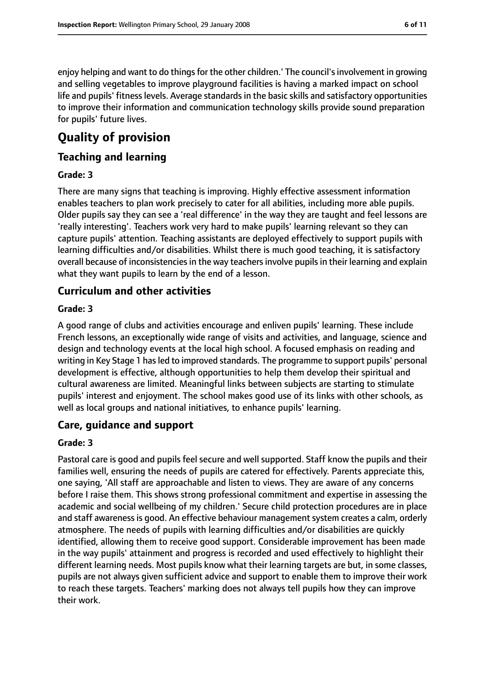enjoy helping and want to do things for the other children.' The council's involvement in growing and selling vegetables to improve playground facilities is having a marked impact on school life and pupils' fitness levels. Average standards in the basic skills and satisfactory opportunities to improve their information and communication technology skills provide sound preparation for pupils' future lives.

# **Quality of provision**

## **Teaching and learning**

#### **Grade: 3**

There are many signs that teaching is improving. Highly effective assessment information enables teachers to plan work precisely to cater for all abilities, including more able pupils. Older pupils say they can see a 'real difference' in the way they are taught and feel lessons are 'really interesting'. Teachers work very hard to make pupils' learning relevant so they can capture pupils' attention. Teaching assistants are deployed effectively to support pupils with learning difficulties and/or disabilities. Whilst there is much good teaching, it is satisfactory overall because of inconsistencies in the way teachers involve pupils in their learning and explain what they want pupils to learn by the end of a lesson.

## **Curriculum and other activities**

#### **Grade: 3**

A good range of clubs and activities encourage and enliven pupils' learning. These include French lessons, an exceptionally wide range of visits and activities, and language, science and design and technology events at the local high school. A focused emphasis on reading and writing in Key Stage 1 has led to improved standards. The programme to support pupils' personal development is effective, although opportunities to help them develop their spiritual and cultural awareness are limited. Meaningful links between subjects are starting to stimulate pupils' interest and enjoyment. The school makes good use of its links with other schools, as well as local groups and national initiatives, to enhance pupils' learning.

## **Care, guidance and support**

#### **Grade: 3**

Pastoral care is good and pupils feel secure and well supported. Staff know the pupils and their families well, ensuring the needs of pupils are catered for effectively. Parents appreciate this, one saying, 'All staff are approachable and listen to views. They are aware of any concerns before I raise them. This shows strong professional commitment and expertise in assessing the academic and social wellbeing of my children.' Secure child protection procedures are in place and staff awareness is good. An effective behaviour management system creates a calm, orderly atmosphere. The needs of pupils with learning difficulties and/or disabilities are quickly identified, allowing them to receive good support. Considerable improvement has been made in the way pupils' attainment and progress is recorded and used effectively to highlight their different learning needs. Most pupils know what their learning targets are but, in some classes, pupils are not always given sufficient advice and support to enable them to improve their work to reach these targets. Teachers' marking does not always tell pupils how they can improve their work.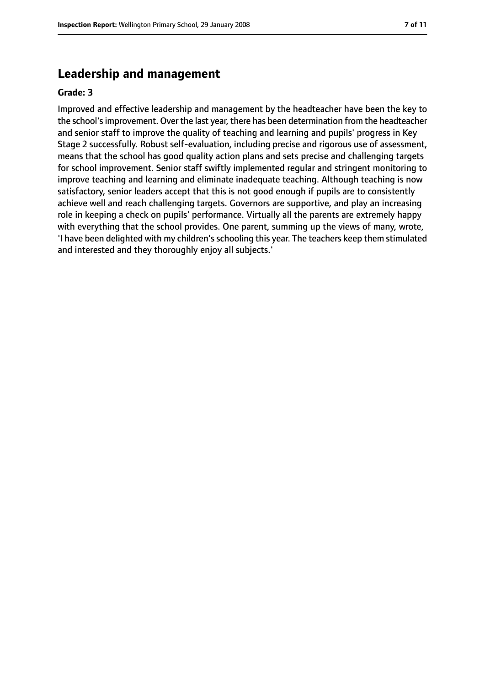## **Leadership and management**

#### **Grade: 3**

Improved and effective leadership and management by the headteacher have been the key to the school'simprovement. Over the last year, there has been determination from the headteacher and senior staff to improve the quality of teaching and learning and pupils' progress in Key Stage 2 successfully. Robust self-evaluation, including precise and rigorous use of assessment, means that the school has good quality action plans and sets precise and challenging targets for school improvement. Senior staff swiftly implemented regular and stringent monitoring to improve teaching and learning and eliminate inadequate teaching. Although teaching is now satisfactory, senior leaders accept that this is not good enough if pupils are to consistently achieve well and reach challenging targets. Governors are supportive, and play an increasing role in keeping a check on pupils' performance. Virtually all the parents are extremely happy with everything that the school provides. One parent, summing up the views of many, wrote, 'I have been delighted with my children'sschooling this year. The teachers keep them stimulated and interested and they thoroughly enjoy all subjects.'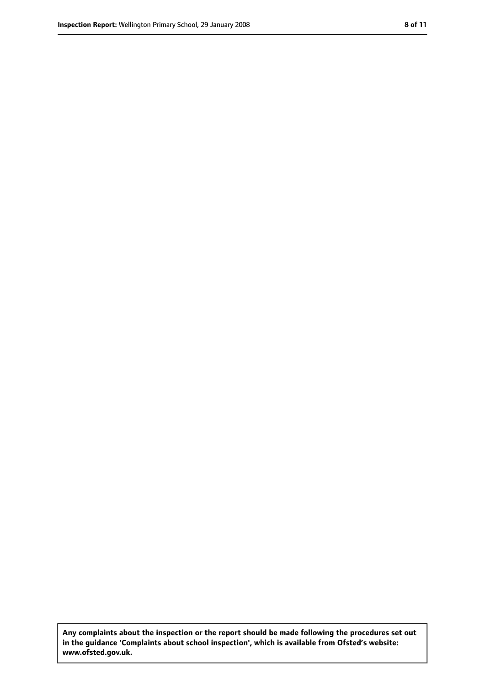**Any complaints about the inspection or the report should be made following the procedures set out in the guidance 'Complaints about school inspection', which is available from Ofsted's website: www.ofsted.gov.uk.**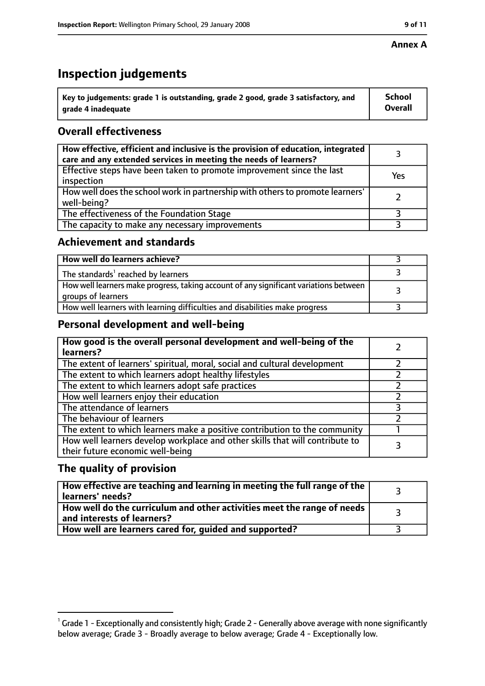#### **Annex A**

# **Inspection judgements**

| $^{\backprime}$ Key to judgements: grade 1 is outstanding, grade 2 good, grade 3 satisfactory, and | <b>School</b>  |
|----------------------------------------------------------------------------------------------------|----------------|
| arade 4 inadeguate                                                                                 | <b>Overall</b> |

## **Overall effectiveness**

| How effective, efficient and inclusive is the provision of education, integrated<br>care and any extended services in meeting the needs of learners? |     |
|------------------------------------------------------------------------------------------------------------------------------------------------------|-----|
| Effective steps have been taken to promote improvement since the last<br>inspection                                                                  | Yes |
| How well does the school work in partnership with others to promote learners'<br>well-being?                                                         |     |
| The effectiveness of the Foundation Stage                                                                                                            |     |
| The capacity to make any necessary improvements                                                                                                      |     |

## **Achievement and standards**

| How well do learners achieve?                                                                               |  |
|-------------------------------------------------------------------------------------------------------------|--|
| The standards <sup>1</sup> reached by learners                                                              |  |
| How well learners make progress, taking account of any significant variations between<br>groups of learners |  |
| How well learners with learning difficulties and disabilities make progress                                 |  |

## **Personal development and well-being**

| How good is the overall personal development and well-being of the<br>learners?                                  |  |
|------------------------------------------------------------------------------------------------------------------|--|
| The extent of learners' spiritual, moral, social and cultural development                                        |  |
| The extent to which learners adopt healthy lifestyles                                                            |  |
| The extent to which learners adopt safe practices                                                                |  |
| How well learners enjoy their education                                                                          |  |
| The attendance of learners                                                                                       |  |
| The behaviour of learners                                                                                        |  |
| The extent to which learners make a positive contribution to the community                                       |  |
| How well learners develop workplace and other skills that will contribute to<br>their future economic well-being |  |

## **The quality of provision**

| How effective are teaching and learning in meeting the full range of the<br>learners' needs?          |  |
|-------------------------------------------------------------------------------------------------------|--|
| How well do the curriculum and other activities meet the range of needs<br>and interests of learners? |  |
| How well are learners cared for, quided and supported?                                                |  |

 $^1$  Grade 1 - Exceptionally and consistently high; Grade 2 - Generally above average with none significantly below average; Grade 3 - Broadly average to below average; Grade 4 - Exceptionally low.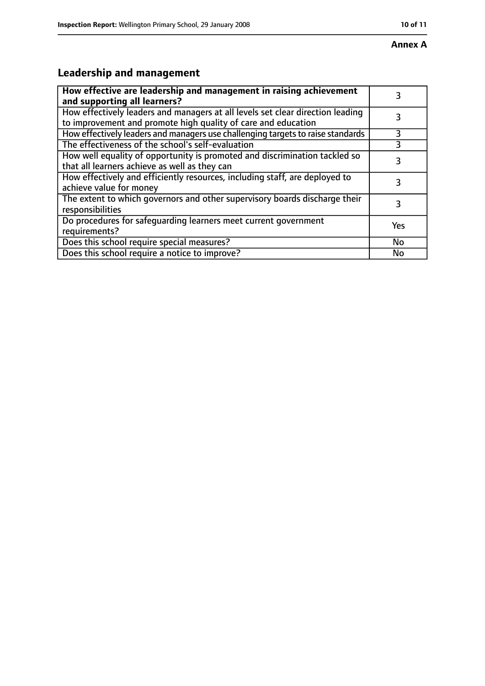# **Annex A**

# **Leadership and management**

| How effective are leadership and management in raising achievement<br>and supporting all learners?                                              |     |
|-------------------------------------------------------------------------------------------------------------------------------------------------|-----|
| How effectively leaders and managers at all levels set clear direction leading<br>to improvement and promote high quality of care and education |     |
| How effectively leaders and managers use challenging targets to raise standards                                                                 | 3   |
| The effectiveness of the school's self-evaluation                                                                                               | 3   |
| How well equality of opportunity is promoted and discrimination tackled so<br>that all learners achieve as well as they can                     | 3   |
| How effectively and efficiently resources, including staff, are deployed to<br>achieve value for money                                          | 3   |
| The extent to which governors and other supervisory boards discharge their<br>responsibilities                                                  | 3   |
| Do procedures for safequarding learners meet current government<br>requirements?                                                                | Yes |
| Does this school require special measures?                                                                                                      | No  |
| Does this school require a notice to improve?                                                                                                   | No  |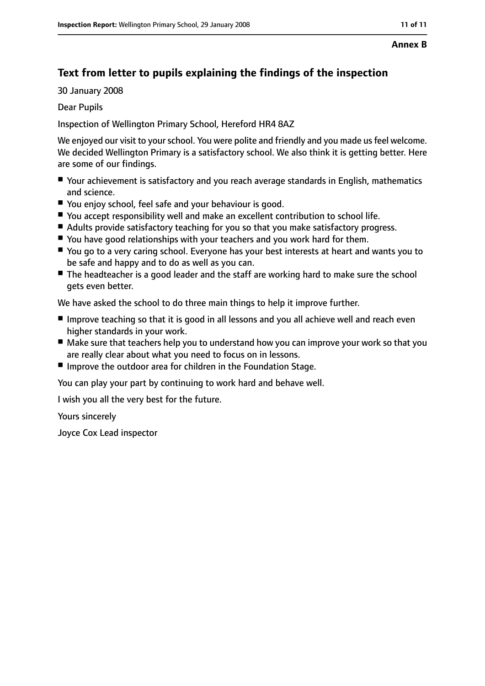#### **Annex B**

## **Text from letter to pupils explaining the findings of the inspection**

30 January 2008

Dear Pupils

Inspection of Wellington Primary School, Hereford HR4 8AZ

We enjoyed our visit to your school. You were polite and friendly and you made us feel welcome. We decided Wellington Primary is a satisfactory school. We also think it is getting better. Here are some of our findings.

- Your achievement is satisfactory and you reach average standards in English, mathematics and science.
- You enjoy school, feel safe and your behaviour is good.
- You accept responsibility well and make an excellent contribution to school life.
- Adults provide satisfactory teaching for you so that you make satisfactory progress.
- You have good relationships with your teachers and you work hard for them.
- You go to a very caring school. Everyone has your best interests at heart and wants you to be safe and happy and to do as well as you can.
- The headteacher is a good leader and the staff are working hard to make sure the school gets even better.

We have asked the school to do three main things to help it improve further.

- Improve teaching so that it is good in all lessons and you all achieve well and reach even higher standards in your work.
- Make sure that teachers help you to understand how you can improve your work so that you are really clear about what you need to focus on in lessons.
- Improve the outdoor area for children in the Foundation Stage.

You can play your part by continuing to work hard and behave well.

I wish you all the very best for the future.

Yours sincerely

Joyce Cox Lead inspector